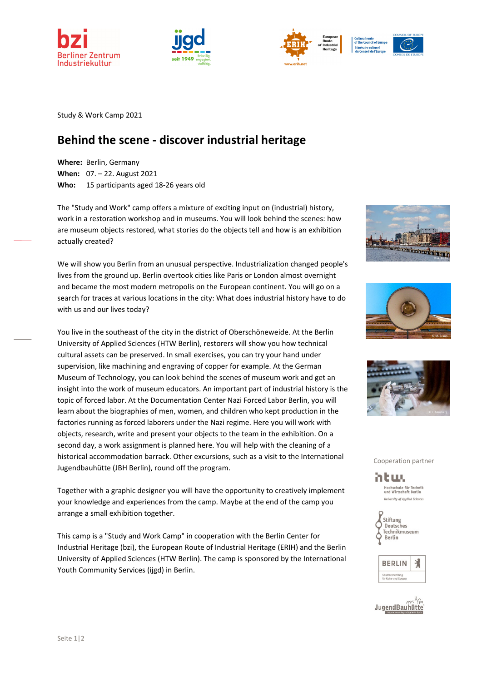







Itinéraire culture<br>du Conseil de l'Eu

Study & Work Camp 2021

## **Behind the scene ‐ discover industrial heritage**

**Where:** Berlin, Germany **When:** 07. – 22. August 2021 **Who:**  15 participants aged 18‐26 years old

The "Study and Work" camp offers a mixture of exciting input on (industrial) history, work in a restoration workshop and in museums. You will look behind the scenes: how are museum objects restored, what stories do the objects tell and how is an exhibition actually created?

We will show you Berlin from an unusual perspective. Industrialization changed people's lives from the ground up. Berlin overtook cities like Paris or London almost overnight and became the most modern metropolis on the European continent. You will go on a search for traces at various locations in the city: What does industrial history have to do with us and our lives today?

You live in the southeast of the city in the district of Oberschöneweide. At the Berlin University of Applied Sciences (HTW Berlin), restorers will show you how technical cultural assets can be preserved. In small exercises, you can try your hand under supervision, like machining and engraving of copper for example. At the German Museum of Technology, you can look behind the scenes of museum work and get an insight into the work of museum educators. An important part of industrial history is the topic of forced labor. At the Documentation Center Nazi Forced Labor Berlin, you will learn about the biographies of men, women, and children who kept production in the factories running as forced laborers under the Nazi regime. Here you will work with objects, research, write and present your objects to the team in the exhibition. On a second day, a work assignment is planned here. You will help with the cleaning of a historical accommodation barrack. Other excursions, such as a visit to the International Jugendbauhütte (JBH Berlin), round off the program.

Together with a graphic designer you will have the opportunity to creatively implement your knowledge and experiences from the camp. Maybe at the end of the camp you arrange a small exhibition together.

This camp is a "Study and Work Camp" in cooperation with the Berlin Center for Industrial Heritage (bzi), the European Route of Industrial Heritage (ERIH) and the Berlin University of Applied Sciences (HTW Berlin). The camp is sponsored by the International Youth Community Services (ijgd) in Berlin.







Cooperation partner

mtwu Hochschule für Technik<br>und Wirtschaft Berlin **University of Applied Sciences**